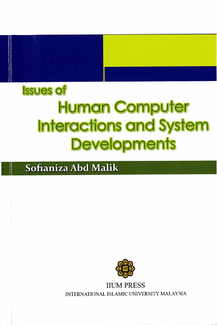

# **Issues of Human Computer Interactions and System Developments**

### Sofianiza Abd Malik



**IIUM PRESS** INTERNATIONAL ISLAMIC UNIVERSITY MALAYSIA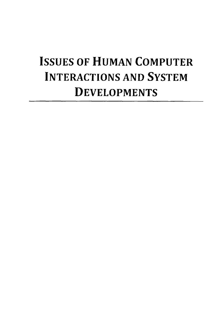## **ISSUES OF HUMAN COMPUTER INTERACTIONS AND SYSTEM DEVELOPMENTS**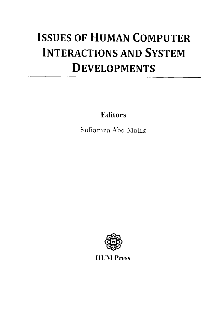## **ISSUES OF HUMAN COMPUTER INTERACTIONS AND SYSTEM DEVELOPMENTS**

**Editors** 

Sofianiza Abd **Malik** 



**IIUM Press**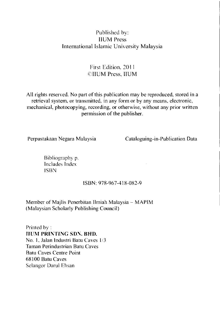#### Published by: IIUM Press International Islamic University Malaysia

#### First Edition. 201 1 {'IIUM Press, IIUM

All rights reserved. No part of this publication may be reproduced. stored in a retrieval system, or transmitted, in any form or by any means, electronic, mechanical, photocopying, recording, or otherwise, without any prior written permission of the publisher.

Perpustakaan Negara Malaysia Cataloguing-in-Publication Data

Bibliography p. Includes Index ISBN

#### ISBN: 978-967-3 18-082-9

Member of Majlis Penerbitan Ilmiah Malaysia - **MAPlM**  (Malaysian Scholarly Publishing Council)

Printed by : **IIURI PRIKTINC** SDS. BHD. No. 1, Jalan Industri Batu Caves 1/3 Taman Perindustrian Batu Caves Batu Caves Centre Point 68 100 Batu Caves Sclangor Darul Ehsan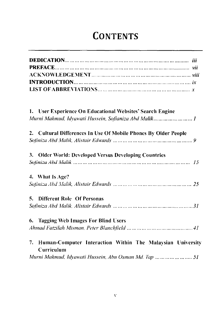### **CONTENTS**

| 1. User Experience On Educational Websites' Search Engine                   |
|-----------------------------------------------------------------------------|
| Murni Mahmud, Idvawati Hussein, Sofianiza Abd Malik1                        |
| 2. Cultural Differences In Use Of Mobile Phones By Older People             |
|                                                                             |
| 3. Older World: Developed Versus Developing Countries                       |
|                                                                             |
| 4. What Is Age?                                                             |
|                                                                             |
| 5. Different Role Of Personas                                               |
|                                                                             |
| 6. Tagging Web Images For Blind Users                                       |
|                                                                             |
| 7. Human-Computer Interaction Within The Malaysian University<br>Curriculum |
| Murni Mahmud, Idyawati Hussein, Abu Osman Md. Tap       51                  |
|                                                                             |